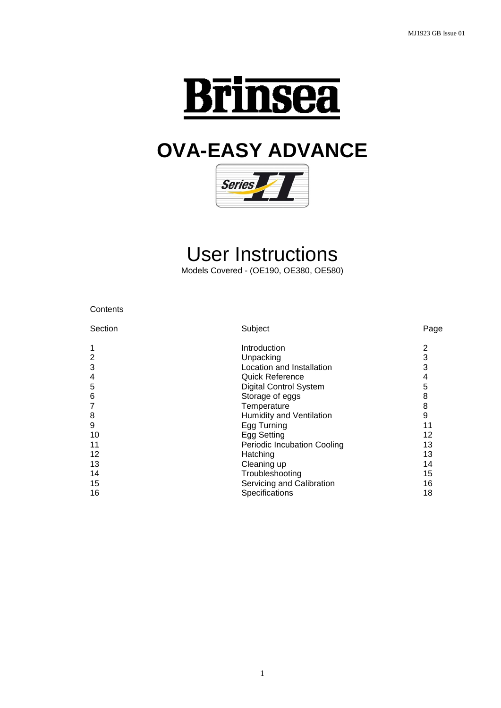

# **OVA-EASY ADVANCE**



# User Instructions

Models Covered - (OE190, OE380, OE580)

| Contents |
|----------|
|----------|

| Section | Subject                            | Page |
|---------|------------------------------------|------|
| 1       | Introduction                       | 2    |
| 2       | Unpacking                          | 3    |
| 3       | Location and Installation          | 3    |
| 4       | Quick Reference                    | 4    |
| 5       | <b>Digital Control System</b>      | 5    |
| 6       | Storage of eggs                    | 8    |
| 7       | Temperature                        | 8    |
| 8       | Humidity and Ventilation           | 9    |
| 9       | Egg Turning                        | 11   |
| 10      | Egg Setting                        | 12   |
| 11      | <b>Periodic Incubation Cooling</b> | 13   |
| 12      | Hatching                           | 13   |
| 13      | Cleaning up                        | 14   |
| 14      | Troubleshooting                    | 15   |
| 15      | Servicing and Calibration          | 16   |
| 16      | Specifications                     | 18   |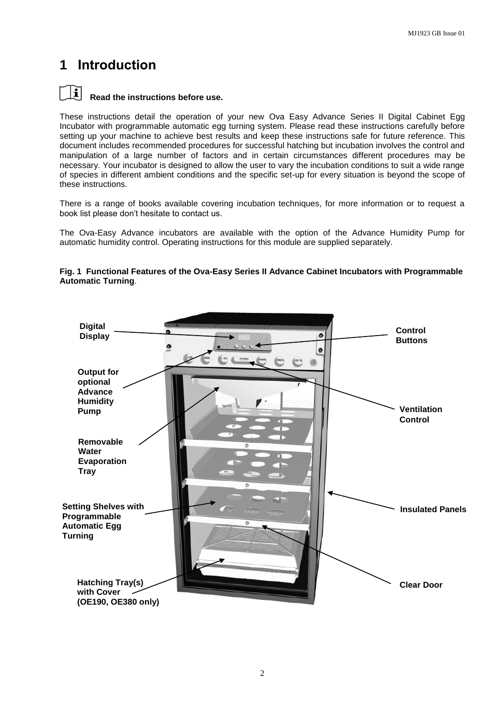### **1 Introduction**



#### **Read the instructions before use.**

These instructions detail the operation of your new Ova Easy Advance Series II Digital Cabinet Egg Incubator with programmable automatic egg turning system. Please read these instructions carefully before setting up your machine to achieve best results and keep these instructions safe for future reference. This document includes recommended procedures for successful hatching but incubation involves the control and manipulation of a large number of factors and in certain circumstances different procedures may be necessary. Your incubator is designed to allow the user to vary the incubation conditions to suit a wide range of species in different ambient conditions and the specific set-up for every situation is beyond the scope of these instructions.

There is a range of books available covering incubation techniques, for more information or to request a book list please don't hesitate to contact us.

The Ova-Easy Advance incubators are available with the option of the Advance Humidity Pump for automatic humidity control. Operating instructions for this module are supplied separately.

### **Digital Control Display** a **Buttons** a **Output for optional Advance Humidity Ventilation PumpControl Removable Water Evaporation Tray Setting Shelves with Insulated Panels Programmable Automatic Egg Turning Hatching Tray(s) Clear Door with Cover (OE190, OE380 only)**

#### **Fig. 1 Functional Features of the Ova-Easy Series II Advance Cabinet Incubators with Programmable Automatic Turning**.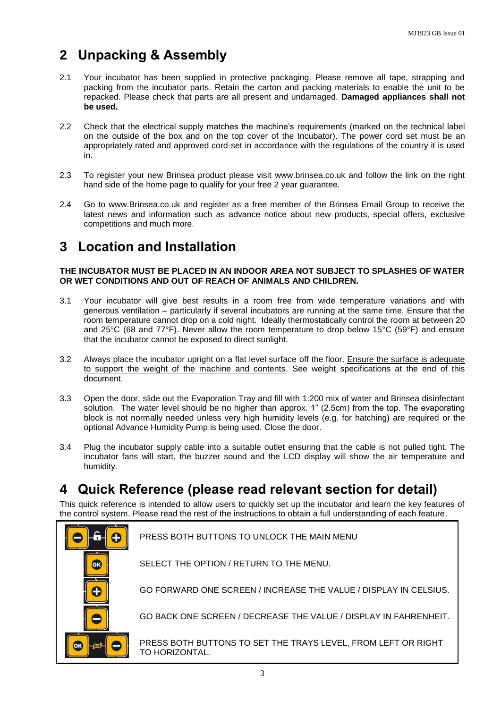### **2 Unpacking & Assembly**

- 2.1 Your incubator has been supplied in protective packaging. Please remove all tape, strapping and packing from the incubator parts. Retain the carton and packing materials to enable the unit to be repacked. Please check that parts are all present and undamaged. **Damaged appliances shall not be used.**
- 2.2 Check that the electrical supply matches the machine's requirements (marked on the technical label on the outside of the box and on the top cover of the Incubator). The power cord set must be an appropriately rated and approved cord-set in accordance with the regulations of the country it is used in.
- 2.3 To register your new Brinsea product please visit [www.brinsea.co.uk](http://www.brinsea.co.uk/) and follow the link on the right hand side of the home page to qualify for your free 2 year guarantee.
- 2.4 Go to www.Brinsea.co.uk and register as a free member of the Brinsea Email Group to receive the latest news and information such as advance notice about new products, special offers, exclusive competitions and much more.

### **3 Location and Installation**

#### **THE INCUBATOR MUST BE PLACED IN AN INDOOR AREA NOT SUBJECT TO SPLASHES OF WATER OR WET CONDITIONS AND OUT OF REACH OF ANIMALS AND CHILDREN.**

- 3.1 Your incubator will give best results in a room free from wide temperature variations and with generous ventilation – particularly if several incubators are running at the same time. Ensure that the room temperature cannot drop on a cold night. Ideally thermostatically control the room at between 20 and 25°C (68 and 77°F). Never allow the room temperature to drop below 15°C (59°F) and ensure that the incubator cannot be exposed to direct sunlight.
- 3.2 Always place the incubator upright on a flat level surface off the floor. Ensure the surface is adequate to support the weight of the machine and contents. See weight specifications at the end of this document.
- 3.3 Open the door, slide out the Evaporation Tray and fill with 1:200 mix of water and Brinsea disinfectant solution. The water level should be no higher than approx. 1" (2.5cm) from the top. The evaporating block is not normally needed unless very high humidity levels (e.g. for hatching) are required or the optional Advance Humidity Pump is being used. Close the door.
- 3.4 Plug the incubator supply cable into a suitable outlet ensuring that the cable is not pulled tight. The incubator fans will start, the buzzer sound and the LCD display will show the air temperature and humidity.

### **4 Quick Reference (please read relevant section for detail)**

This quick reference is intended to allow users to quickly set up the incubator and learn the key features of the control system. Please read the rest of the instructions to obtain a full understanding of each feature.

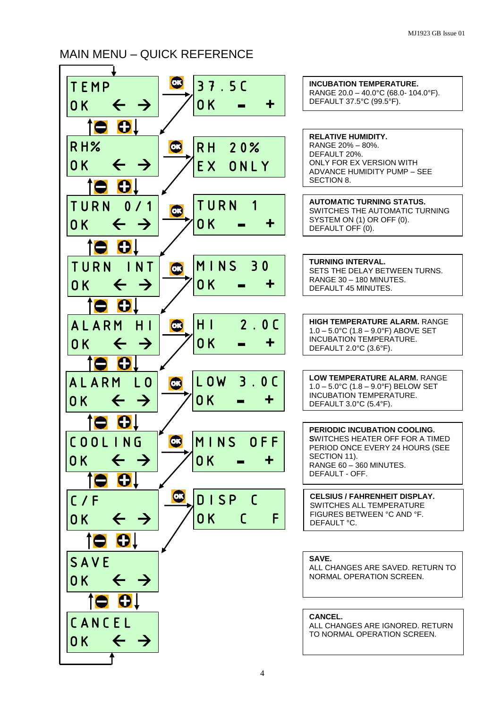### MAIN MENU – QUICK REFERENCE

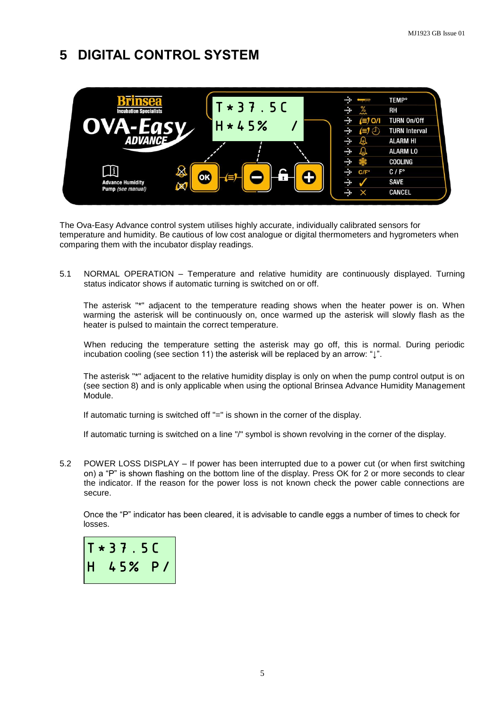## **5 DIGITAL CONTROL SYSTEM**



The Ova-Easy Advance control system utilises highly accurate, individually calibrated sensors for temperature and humidity. Be cautious of low cost analogue or digital thermometers and hygrometers when comparing them with the incubator display readings.

5.1 NORMAL OPERATION – Temperature and relative humidity are continuously displayed. Turning status indicator shows if automatic turning is switched on or off.

The asterisk "\*" adjacent to the temperature reading shows when the heater power is on. When warming the asterisk will be continuously on, once warmed up the asterisk will slowly flash as the heater is pulsed to maintain the correct temperature.

When reducing the temperature setting the asterisk may go off, this is normal. During periodic incubation cooling (see section 11) the asterisk will be replaced by an arrow: "↓".

The asterisk "\*" adjacent to the relative humidity display is only on when the pump control output is on (see section 8) and is only applicable when using the optional Brinsea Advance Humidity Management Module.

If automatic turning is switched off "=" is shown in the corner of the display.

If automatic turning is switched on a line "/" symbol is shown revolving in the corner of the display.

5.2 POWER LOSS DISPLAY – If power has been interrupted due to a power cut (or when first switching on) a "P" is shown flashing on the bottom line of the display. Press OK for 2 or more seconds to clear the indicator. If the reason for the power loss is not known check the power cable connections are secure.

Once the "P" indicator has been cleared, it is advisable to candle eggs a number of times to check for losses.

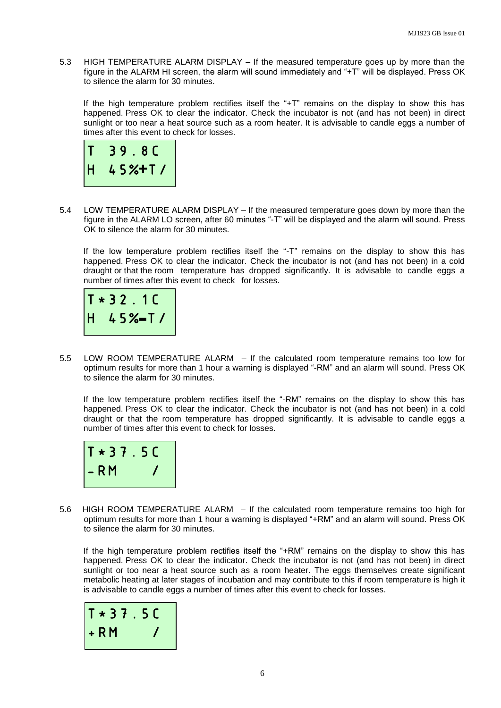5.3 HIGH TEMPERATURE ALARM DISPLAY – If the measured temperature goes up by more than the figure in the ALARM HI screen, the alarm will sound immediately and "+T" will be displayed. Press OK to silence the alarm for 30 minutes.

If the high temperature problem rectifies itself the "+T" remains on the display to show this has happened. Press OK to clear the indicator. Check the incubator is not (and has not been) in direct sunlight or too near a heat source such as a room heater. It is advisable to candle eggs a number of times after this event to check for losses.



5.4 LOW TEMPERATURE ALARM DISPLAY – If the measured temperature goes down by more than the figure in the ALARM LO screen, after 60 minutes "-T" will be displayed and the alarm will sound. Press OK to silence the alarm for 30 minutes.

If the low temperature problem rectifies itself the "-T" remains on the display to show this has happened. Press OK to clear the indicator. Check the incubator is not (and has not been) in a cold draught or that the room temperature has dropped significantly. It is advisable to candle eggs a number of times after this event to check for losses.



5.5 LOW ROOM TEMPERATURE ALARM – If the calculated room temperature remains too low for optimum results for more than 1 hour a warning is displayed "-RM" and an alarm will sound. Press OK to silence the alarm for 30 minutes.

If the low temperature problem rectifies itself the "-RM" remains on the display to show this has happened. Press OK to clear the indicator. Check the incubator is not (and has not been) in a cold draught or that the room temperature has dropped significantly. It is advisable to candle eggs a number of times after this event to check for losses.



5.6HIGH ROOM TEMPERATURE ALARM – If the calculated room temperature remains too high for optimum results for more than 1 hour a warning is displayed "+RM" and an alarm will sound. Press OK to silence the alarm for 30 minutes.

If the high temperature problem rectifies itself the "+RM" remains on the display to show this has happened. Press OK to clear the indicator. Check the incubator is not (and has not been) in direct sunlight or too near a heat source such as a room heater. The eggs themselves create significant metabolic heating at later stages of incubation and may contribute to this if room temperature is high it is advisable to candle eggs a number of times after this event to check for losses.

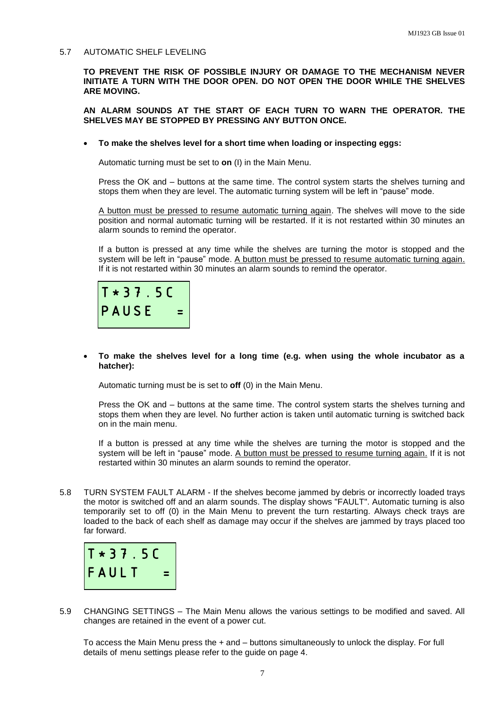#### 5.7 AUTOMATIC SHELF LEVELING

**TO PREVENT THE RISK OF POSSIBLE INJURY OR DAMAGE TO THE MECHANISM NEVER INITIATE A TURN WITH THE DOOR OPEN. DO NOT OPEN THE DOOR WHILE THE SHELVES ARE MOVING.**

**AN ALARM SOUNDS AT THE START OF EACH TURN TO WARN THE OPERATOR. THE SHELVES MAY BE STOPPED BY PRESSING ANY BUTTON ONCE.**

**To make the shelves level for a short time when loading or inspecting eggs:**

Automatic turning must be set to **on** (I) in the Main Menu.

Press the OK and – buttons at the same time. The control system starts the shelves turning and stops them when they are level. The automatic turning system will be left in "pause" mode.

A button must be pressed to resume automatic turning again. The shelves will move to the side position and normal automatic turning will be restarted. If it is not restarted within 30 minutes an alarm sounds to remind the operator.

If a button is pressed at any time while the shelves are turning the motor is stopped and the system will be left in "pause" mode. A button must be pressed to resume automatic turning again. If it is not restarted within 30 minutes an alarm sounds to remind the operator.



#### **To make the shelves level for a long time (e.g. when using the whole incubator as a hatcher):**

Automatic turning must be is set to **off** (0) in the Main Menu.

Press the OK and – buttons at the same time. The control system starts the shelves turning and stops them when they are level. No further action is taken until automatic turning is switched back on in the main menu.

If a button is pressed at any time while the shelves are turning the motor is stopped and the system will be left in "pause" mode. A button must be pressed to resume turning again. If it is not restarted within 30 minutes an alarm sounds to remind the operator.

5.8 TURN SYSTEM FAULT ALARM - If the shelves become jammed by debris or incorrectly loaded trays the motor is switched off and an alarm sounds. The display shows "FAULT". Automatic turning is also temporarily set to off (0) in the Main Menu to prevent the turn restarting. Always check trays are loaded to the back of each shelf as damage may occur if the shelves are jammed by trays placed too far forward.



5.9 CHANGING SETTINGS – The Main Menu allows the various settings to be modified and saved. All changes are retained in the event of a power cut.

To access the Main Menu press the + and – buttons simultaneously to unlock the display. For full details of menu settings please refer to the guide on page 4.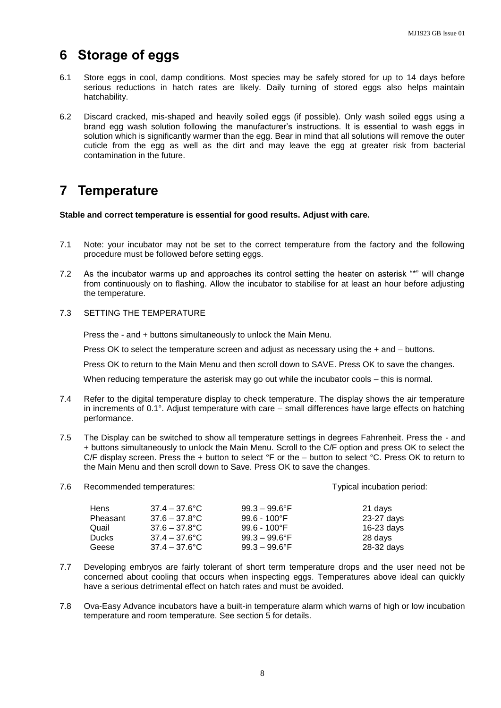### **6 Storage of eggs**

- 6.1 Store eggs in cool, damp conditions. Most species may be safely stored for up to 14 days before serious reductions in hatch rates are likely. Daily turning of stored eggs also helps maintain hatchability.
- 6.2 Discard cracked, mis-shaped and heavily soiled eggs (if possible). Only wash soiled eggs using a brand egg wash solution following the manufacturer's instructions. It is essential to wash eggs in solution which is significantly warmer than the egg. Bear in mind that all solutions will remove the outer cuticle from the egg as well as the dirt and may leave the egg at greater risk from bacterial contamination in the future.

### **7 Temperature**

**Stable and correct temperature is essential for good results. Adjust with care.**

- 7.1 Note: your incubator may not be set to the correct temperature from the factory and the following procedure must be followed before setting eggs.
- 7.2 As the incubator warms up and approaches its control setting the heater on asterisk "\*" will change from continuously on to flashing. Allow the incubator to stabilise for at least an hour before adjusting the temperature.
- 7.3 SETTING THE TEMPERATURE

Press the - and + buttons simultaneously to unlock the Main Menu.

Press OK to select the temperature screen and adjust as necessary using the + and – buttons.

Press OK to return to the Main Menu and then scroll down to SAVE. Press OK to save the changes.

When reducing temperature the asterisk may go out while the incubator cools – this is normal.

- 7.4 Refer to the digital temperature display to check temperature. The display shows the air temperature in increments of 0.1°. Adjust temperature with care – small differences have large effects on hatching performance.
- 7.5 The Display can be switched to show all temperature settings in degrees Fahrenheit. Press the and + buttons simultaneously to unlock the Main Menu. Scroll to the C/F option and press OK to select the C/F display screen. Press the + button to select °F or the – button to select °C. Press OK to return to the Main Menu and then scroll down to Save. Press OK to save the changes.

|                                                               | Typical incubation period: |
|---------------------------------------------------------------|----------------------------|
| $99.3 - 99.6$ °F<br>$37.4 - 37.6^{\circ}$ C<br><b>Hens</b>    | 21 days                    |
| $37.6 - 37.8^{\circ}$ C<br>$99.6 - 100^{\circ}$ F<br>Pheasant | 23-27 days                 |
| $99.6 - 100^{\circ}F$<br>$37.6 - 37.8^{\circ}$ C<br>Quail     | $16-23$ days               |
| $37.4 - 37.6^{\circ}$ C<br><b>Ducks</b><br>$99.3 - 99.6$ °F   | 28 days                    |
| $37.4 - 37.6^{\circ}$ C<br>$99.3 - 99.6$ °F<br>Geese          | 28-32 days                 |

- 7.7 Developing embryos are fairly tolerant of short term temperature drops and the user need not be concerned about cooling that occurs when inspecting eggs. Temperatures above ideal can quickly have a serious detrimental effect on hatch rates and must be avoided.
- 7.8 Ova-Easy Advance incubators have a built-in temperature alarm which warns of high or low incubation temperature and room temperature. See section 5 for details.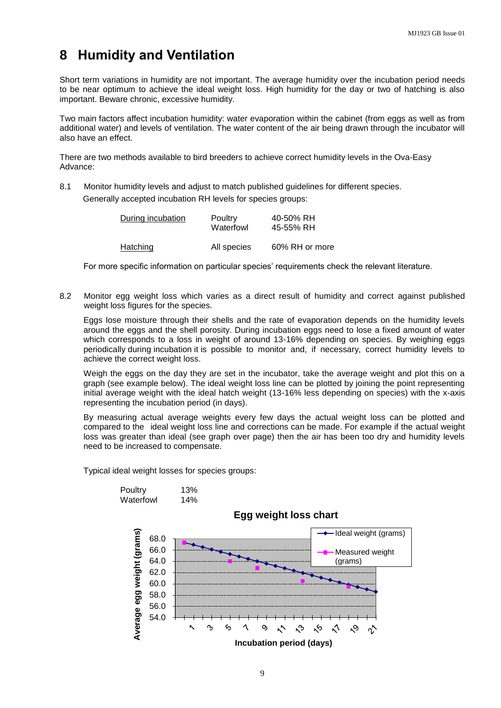### **8 Humidity and Ventilation**

Short term variations in humidity are not important. The average humidity over the incubation period needs to be near optimum to achieve the ideal weight loss. High humidity for the day or two of hatching is also important. Beware chronic, excessive humidity.

Two main factors affect incubation humidity: water evaporation within the cabinet (from eggs as well as from additional water) and levels of ventilation. The water content of the air being drawn through the incubator will also have an effect.

There are two methods available to bird breeders to achieve correct humidity levels in the Ova-Easy Advance:

8.1 Monitor humidity levels and adjust to match published guidelines for different species. Generally accepted incubation RH levels for species groups:

| During incubation | Poultry<br>Waterfowl | 40-50% RH<br>45-55% RH |
|-------------------|----------------------|------------------------|
| Hatching          | All species          | 60% RH or more         |

For more specific information on particular species' requirements check the relevant literature.

8.2 Monitor egg weight loss which varies as a direct result of humidity and correct against published weight loss figures for the species.

Eggs lose moisture through their shells and the rate of evaporation depends on the humidity levels around the eggs and the shell porosity. During incubation eggs need to lose a fixed amount of water which corresponds to a loss in weight of around 13-16% depending on species. By weighing eggs periodically during incubation it is possible to monitor and, if necessary, correct humidity levels to achieve the correct weight loss.

Weigh the eggs on the day they are set in the incubator, take the average weight and plot this on a graph (see example below). The ideal weight loss line can be plotted by joining the point representing initial average weight with the ideal hatch weight (13-16% less depending on species) with the x-axis representing the incubation period (in days).

By measuring actual average weights every few days the actual weight loss can be plotted and compared to the ideal weight loss line and corrections can be made. For example if the actual weight loss was greater than ideal (see graph over page) then the air has been too dry and humidity levels need to be increased to compensate.

Typical ideal weight losses for species groups:

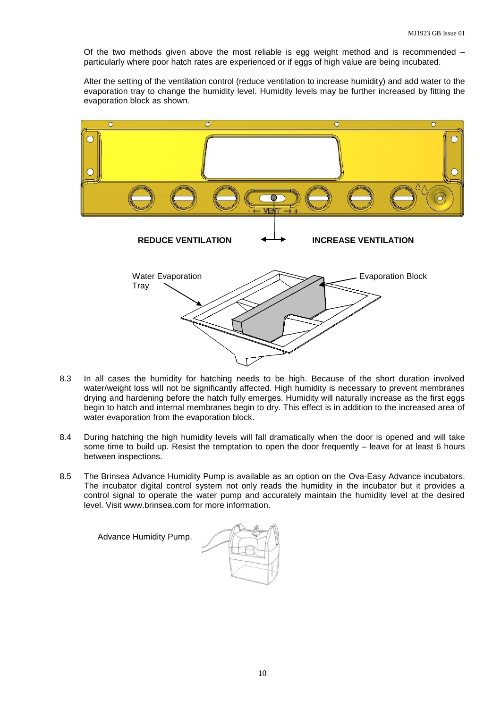Of the two methods given above the most reliable is egg weight method and is recommended – particularly where poor hatch rates are experienced or if eggs of high value are being incubated.

Alter the setting of the ventilation control (reduce ventilation to increase humidity) and add water to the evaporation tray to change the humidity level. Humidity levels may be further increased by fitting the evaporation block as shown.



- 8.3 In all cases the humidity for hatching needs to be high. Because of the short duration involved water/weight loss will not be significantly affected. High humidity is necessary to prevent membranes drying and hardening before the hatch fully emerges. Humidity will naturally increase as the first eggs begin to hatch and internal membranes begin to dry. This effect is in addition to the increased area of water evaporation from the evaporation block.
- 8.4 During hatching the high humidity levels will fall dramatically when the door is opened and will take some time to build up. Resist the temptation to open the door frequently – leave for at least 6 hours between inspections.
- 8.5 The Brinsea Advance Humidity Pump is available as an option on the Ova-Easy Advance incubators. The incubator digital control system not only reads the humidity in the incubator but it provides a control signal to operate the water pump and accurately maintain the humidity level at the desired level. Visit www.brinsea.com for more information.

Advance Humidity Pump.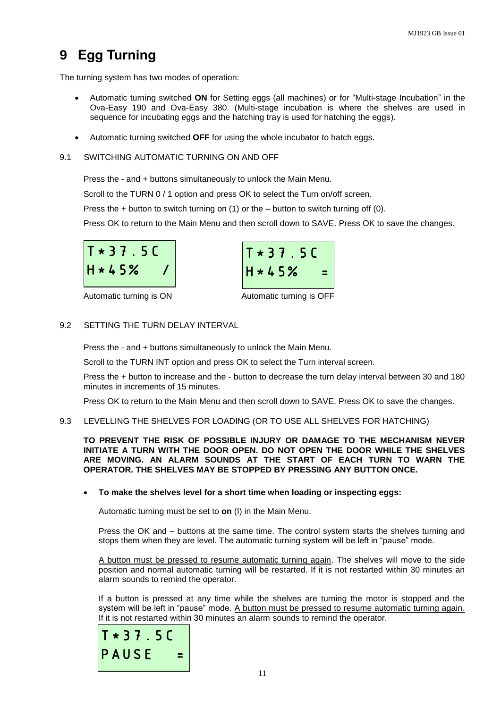## **9 Egg Turning**

The turning system has two modes of operation:

- Automatic turning switched **ON** for Setting eggs (all machines) or for "Multi-stage Incubation" in the Ova-Easy 190 and Ova-Easy 380. (Multi-stage incubation is where the shelves are used in sequence for incubating eggs and the hatching tray is used for hatching the eggs).
- Automatic turning switched **OFF** for using the whole incubator to hatch eggs.
- 9.1 SWITCHING AUTOMATIC TURNING ON AND OFF

Press the - and + buttons simultaneously to unlock the Main Menu.

Scroll to the TURN 0 / 1 option and press OK to select the Turn on/off screen.

Press the + button to switch turning on (1) or the – button to switch turning off (0).

Press OK to return to the Main Menu and then scroll down to SAVE. Press OK to save the changes.



Automatic turning is ON Automatic turning is OFF



#### 9.2 SETTING THE TURN DELAY INTERVAL

Press the - and + buttons simultaneously to unlock the Main Menu.

Scroll to the TURN INT option and press OK to select the Turn interval screen.

Press the + button to increase and the - button to decrease the turn delay interval between 30 and 180 minutes in increments of 15 minutes.

Press OK to return to the Main Menu and then scroll down to SAVE. Press OK to save the changes.

9.3 LEVELLING THE SHELVES FOR LOADING (OR TO USE ALL SHELVES FOR HATCHING)

**TO PREVENT THE RISK OF POSSIBLE INJURY OR DAMAGE TO THE MECHANISM NEVER INITIATE A TURN WITH THE DOOR OPEN. DO NOT OPEN THE DOOR WHILE THE SHELVES ARE MOVING. AN ALARM SOUNDS AT THE START OF EACH TURN TO WARN THE OPERATOR. THE SHELVES MAY BE STOPPED BY PRESSING ANY BUTTON ONCE.**

#### **To make the shelves level for a short time when loading or inspecting eggs:**

Automatic turning must be set to **on** (I) in the Main Menu.

Press the OK and – buttons at the same time. The control system starts the shelves turning and stops them when they are level. The automatic turning system will be left in "pause" mode.

A button must be pressed to resume automatic turning again. The shelves will move to the side position and normal automatic turning will be restarted. If it is not restarted within 30 minutes an alarm sounds to remind the operator.

If a button is pressed at any time while the shelves are turning the motor is stopped and the system will be left in "pause" mode. A button must be pressed to resume automatic turning again. If it is not restarted within 30 minutes an alarm sounds to remind the operator.

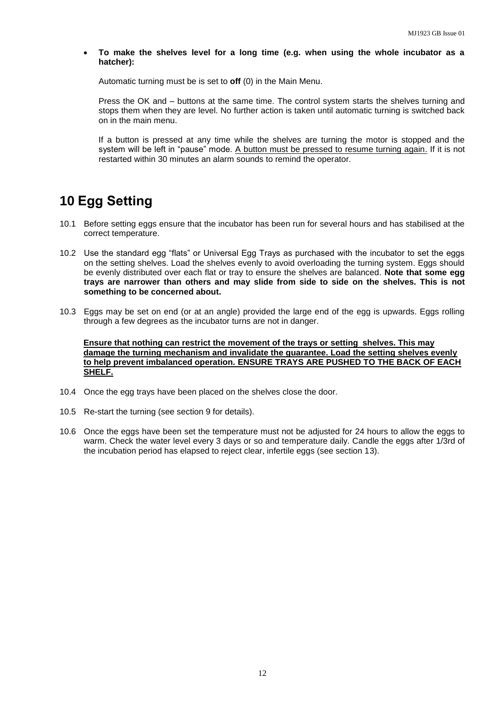**To make the shelves level for a long time (e.g. when using the whole incubator as a hatcher):**

Automatic turning must be is set to **off** (0) in the Main Menu.

Press the OK and – buttons at the same time. The control system starts the shelves turning and stops them when they are level. No further action is taken until automatic turning is switched back on in the main menu.

If a button is pressed at any time while the shelves are turning the motor is stopped and the system will be left in "pause" mode. A button must be pressed to resume turning again. If it is not restarted within 30 minutes an alarm sounds to remind the operator.

### **10 Egg Setting**

- 10.1 Before setting eggs ensure that the incubator has been run for several hours and has stabilised at the correct temperature.
- 10.2 Use the standard egg "flats" or Universal Egg Trays as purchased with the incubator to set the eggs on the setting shelves. Load the shelves evenly to avoid overloading the turning system. Eggs should be evenly distributed over each flat or tray to ensure the shelves are balanced. **Note that some egg trays are narrower than others and may slide from side to side on the shelves. This is not something to be concerned about.**
- 10.3 Eggs may be set on end (or at an angle) provided the large end of the egg is upwards. Eggs rolling through a few degrees as the incubator turns are not in danger.

**Ensure that nothing can restrict the movement of the trays or setting shelves. This may damage the turning mechanism and invalidate the guarantee. Load the setting shelves evenly to help prevent imbalanced operation. ENSURE TRAYS ARE PUSHED TO THE BACK OF EACH SHELF.**

- 10.4 Once the egg trays have been placed on the shelves close the door.
- 10.5 Re-start the turning (see section 9 for details).
- 10.6 Once the eggs have been set the temperature must not be adjusted for 24 hours to allow the eggs to warm. Check the water level every 3 days or so and temperature daily. Candle the eggs after 1/3rd of the incubation period has elapsed to reject clear, infertile eggs (see section 13).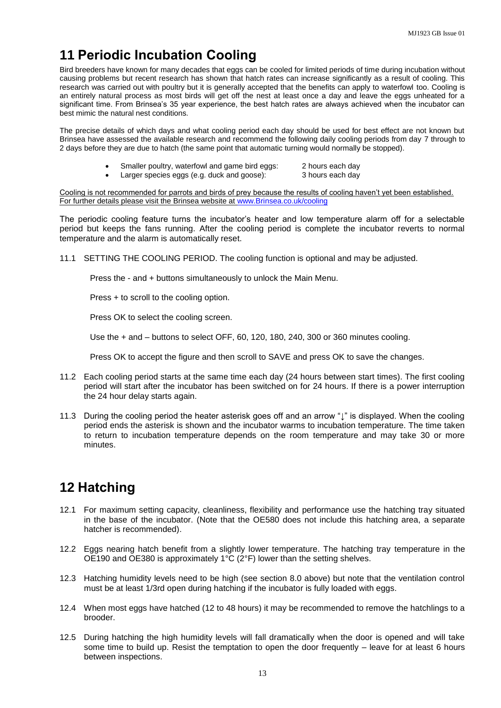### **11 Periodic Incubation Cooling**

Bird breeders have known for many decades that eggs can be cooled for limited periods of time during incubation without causing problems but recent research has shown that hatch rates can increase significantly as a result of cooling. This research was carried out with poultry but it is generally accepted that the benefits can apply to waterfowl too. Cooling is an entirely natural process as most birds will get off the nest at least once a day and leave the eggs unheated for a significant time. From Brinsea's 35 year experience, the best hatch rates are always achieved when the incubator can best mimic the natural nest conditions.

The precise details of which days and what cooling period each day should be used for best effect are not known but Brinsea have assessed the available research and recommend the following daily cooling periods from day 7 through to 2 days before they are due to hatch (the same point that automatic turning would normally be stopped).

- Smaller poultry, waterfowl and game bird eggs: 2 hours each day
	- Larger species eggs (e.g. duck and goose): 3 hours each day

Cooling is not recommended for parrots and birds of prey because the results of cooling haven't yet been established. For further details please visit the Brinsea website at [www.Brinsea.co.uk/cooling](http://www.brinsea.co.uk/cooling)

The periodic cooling feature turns the incubator's heater and low temperature alarm off for a selectable period but keeps the fans running. After the cooling period is complete the incubator reverts to normal temperature and the alarm is automatically reset.

11.1 SETTING THE COOLING PERIOD. The cooling function is optional and may be adjusted.

Press the - and + buttons simultaneously to unlock the Main Menu.

Press + to scroll to the cooling option.

Press OK to select the cooling screen.

Use the + and – buttons to select OFF, 60, 120, 180, 240, 300 or 360 minutes cooling.

Press OK to accept the figure and then scroll to SAVE and press OK to save the changes.

- 11.2 Each cooling period starts at the same time each day (24 hours between start times). The first cooling period will start after the incubator has been switched on for 24 hours. If there is a power interruption the 24 hour delay starts again.
- 11.3 During the cooling period the heater asterisk goes off and an arrow "↓" is displayed. When the cooling period ends the asterisk is shown and the incubator warms to incubation temperature. The time taken to return to incubation temperature depends on the room temperature and may take 30 or more minutes.

### **12 Hatching**

- 12.1 For maximum setting capacity, cleanliness, flexibility and performance use the hatching tray situated in the base of the incubator. (Note that the OE580 does not include this hatching area, a separate hatcher is recommended).
- 12.2 Eggs nearing hatch benefit from a slightly lower temperature. The hatching tray temperature in the OE190 and OE380 is approximately 1°C (2°F) lower than the setting shelves.
- 12.3 Hatching humidity levels need to be high (see section 8.0 above) but note that the ventilation control must be at least 1/3rd open during hatching if the incubator is fully loaded with eggs.
- 12.4 When most eggs have hatched (12 to 48 hours) it may be recommended to remove the hatchlings to a brooder.
- 12.5 During hatching the high humidity levels will fall dramatically when the door is opened and will take some time to build up. Resist the temptation to open the door frequently – leave for at least 6 hours between inspections.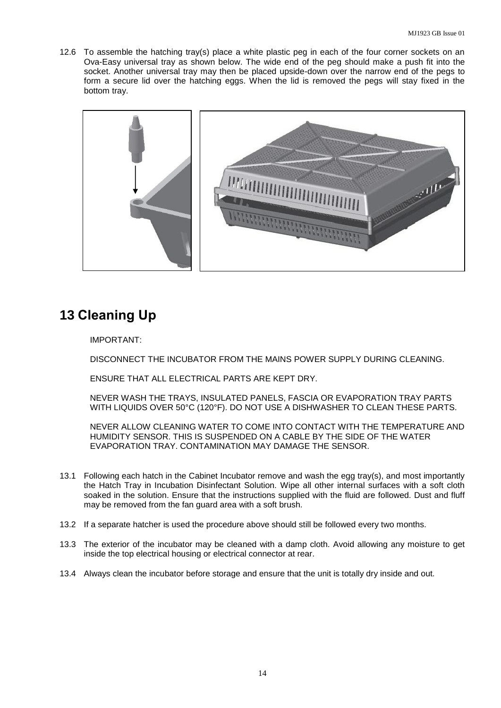12.6 To assemble the hatching tray(s) place a white plastic peg in each of the four corner sockets on an Ova-Easy universal tray as shown below. The wide end of the peg should make a push fit into the socket. Another universal tray may then be placed upside-down over the narrow end of the pegs to form a secure lid over the hatching eggs. When the lid is removed the pegs will stay fixed in the bottom tray.



### **13 Cleaning Up**

IMPORTANT:

DISCONNECT THE INCUBATOR FROM THE MAINS POWER SUPPLY DURING CLEANING.

ENSURE THAT ALL ELECTRICAL PARTS ARE KEPT DRY.

NEVER WASH THE TRAYS, INSULATED PANELS, FASCIA OR EVAPORATION TRAY PARTS WITH LIQUIDS OVER 50°C (120°F). DO NOT USE A DISHWASHER TO CLEAN THESE PARTS.

NEVER ALLOW CLEANING WATER TO COME INTO CONTACT WITH THE TEMPERATURE AND HUMIDITY SENSOR. THIS IS SUSPENDED ON A CABLE BY THE SIDE OF THE WATER EVAPORATION TRAY. CONTAMINATION MAY DAMAGE THE SENSOR.

- 13.1 Following each hatch in the Cabinet Incubator remove and wash the egg tray(s), and most importantly the Hatch Tray in Incubation Disinfectant Solution. Wipe all other internal surfaces with a soft cloth soaked in the solution. Ensure that the instructions supplied with the fluid are followed. Dust and fluff may be removed from the fan guard area with a soft brush.
- 13.2 If a separate hatcher is used the procedure above should still be followed every two months.
- 13.3 The exterior of the incubator may be cleaned with a damp cloth. Avoid allowing any moisture to get inside the top electrical housing or electrical connector at rear.
- 13.4 Always clean the incubator before storage and ensure that the unit is totally dry inside and out.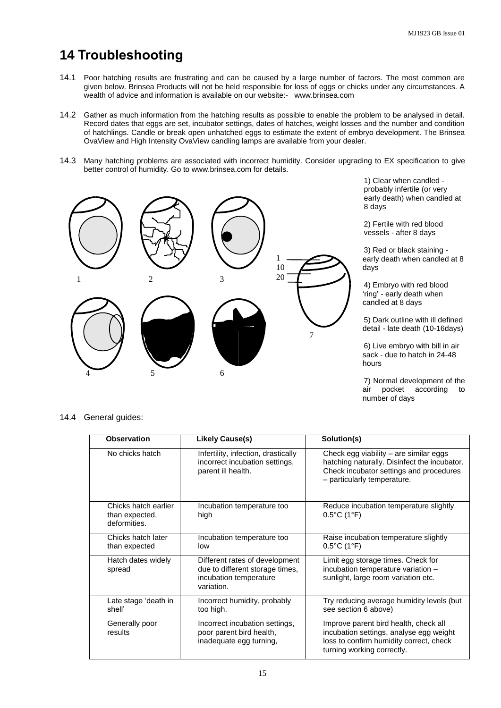### **14 Troubleshooting**

- 14.1 Poor hatching results are frustrating and can be caused by a large number of factors. The most common are given below. Brinsea Products will not be held responsible for loss of eggs or chicks under any circumstances. A wealth of advice and information is available on our website:- www.brinsea.com
- 14.2 Gather as much information from the hatching results as possible to enable the problem to be analysed in detail. Record dates that eggs are set, incubator settings, dates of hatches, weight losses and the number and condition of hatchlings. Candle or break open unhatched eggs to estimate the extent of embryo development. The Brinsea OvaView and High Intensity OvaView candling lamps are available from your dealer.
- 14.3 Many hatching problems are associated with incorrect humidity. Consider upgrading to EX specification to give better control of humidity. Go to www.brinsea.com for details.



1) Clear when candled probably infertile (or very early death) when candled at 8 days

2) Fertile with red blood vessels - after 8 days

3) Red or black staining early death when candled at 8 days

4) Embryo with red blood 'ring' - early death when candled at 8 days

5) Dark outline with ill defined detail - late death (10-16days)

6) Live embryo with bill in air sack - due to hatch in 24-48 hours

7) Normal development of the air pocket according to number of days

#### 14.4 General guides:

| <b>Observation</b>                                     | <b>Likely Cause(s)</b>                                                                                    | Solution(s)                                                                                                                                                      |
|--------------------------------------------------------|-----------------------------------------------------------------------------------------------------------|------------------------------------------------------------------------------------------------------------------------------------------------------------------|
| No chicks hatch                                        | Infertility, infection, drastically<br>incorrect incubation settings,<br>parent ill health.               | Check egg viability – are similar eggs<br>hatching naturally. Disinfect the incubator.<br>Check incubator settings and procedures<br>- particularly temperature. |
| Chicks hatch earlier<br>than expected,<br>deformities. | Incubation temperature too<br>high                                                                        | Reduce incubation temperature slightly<br>$0.5^{\circ}$ C (1°F)                                                                                                  |
| Chicks hatch later<br>than expected                    | Incubation temperature too<br>low                                                                         | Raise incubation temperature slightly<br>$0.5^{\circ}$ C (1°F)                                                                                                   |
| Hatch dates widely<br>spread                           | Different rates of development<br>due to different storage times,<br>incubation temperature<br>variation. | Limit egg storage times. Check for<br>incubation temperature variation -<br>sunlight, large room variation etc.                                                  |
| Late stage 'death in<br>shell'                         | Incorrect humidity, probably<br>too high.                                                                 | Try reducing average humidity levels (but<br>see section 6 above)                                                                                                |
| Generally poor<br>results                              | Incorrect incubation settings,<br>poor parent bird health,<br>inadequate egg turning,                     | Improve parent bird health, check all<br>incubation settings, analyse egg weight<br>loss to confirm humidity correct, check<br>turning working correctly.        |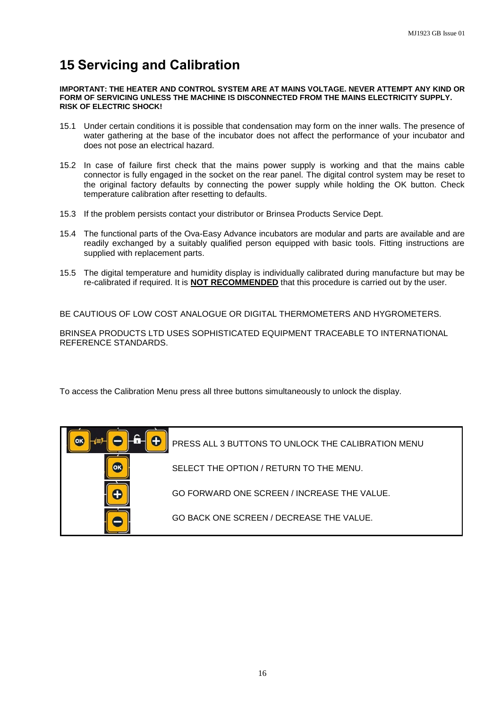### **15 Servicing and Calibration**

**IMPORTANT: THE HEATER AND CONTROL SYSTEM ARE AT MAINS VOLTAGE. NEVER ATTEMPT ANY KIND OR FORM OF SERVICING UNLESS THE MACHINE IS DISCONNECTED FROM THE MAINS ELECTRICITY SUPPLY. RISK OF ELECTRIC SHOCK!**

- 15.1 Under certain conditions it is possible that condensation may form on the inner walls. The presence of water gathering at the base of the incubator does not affect the performance of your incubator and does not pose an electrical hazard.
- 15.2 In case of failure first check that the mains power supply is working and that the mains cable connector is fully engaged in the socket on the rear panel. The digital control system may be reset to the original factory defaults by connecting the power supply while holding the OK button. Check temperature calibration after resetting to defaults.
- 15.3 If the problem persists contact your distributor or Brinsea Products Service Dept.
- 15.4 The functional parts of the Ova-Easy Advance incubators are modular and parts are available and are readily exchanged by a suitably qualified person equipped with basic tools. Fitting instructions are supplied with replacement parts.
- 15.5 The digital temperature and humidity display is individually calibrated during manufacture but may be re-calibrated if required. It is **NOT RECOMMENDED** that this procedure is carried out by the user.

BE CAUTIOUS OF LOW COST ANALOGUE OR DIGITAL THERMOMETERS AND HYGROMETERS.

BRINSEA PRODUCTS LTD USES SOPHISTICATED EQUIPMENT TRACEABLE TO INTERNATIONAL REFERENCE STANDARDS.

To access the Calibration Menu press all three buttons simultaneously to unlock the display.

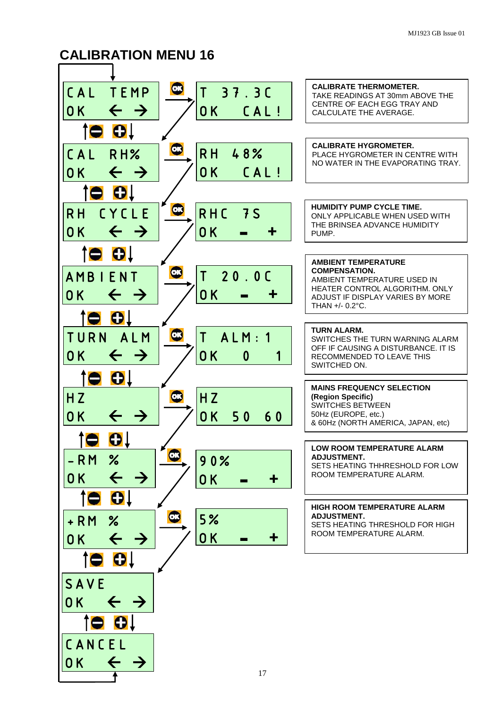### **CALIBRATION MENU 16**

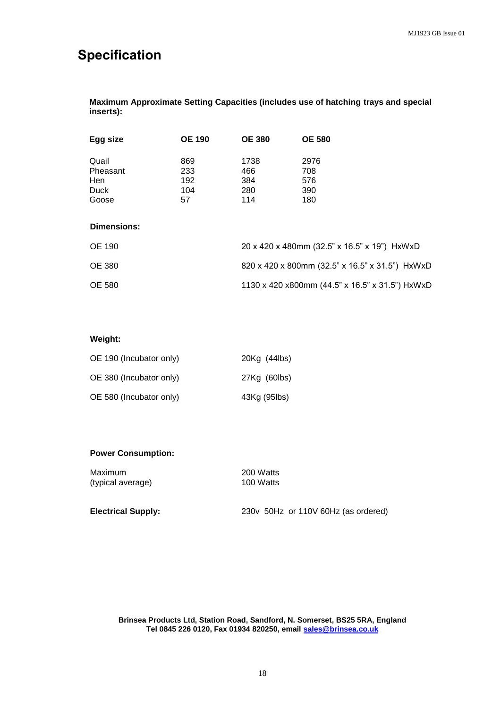### **Specification**

**Maximum Approximate Setting Capacities (includes use of hatching trays and special inserts):**

| Egg size                                         | <b>OE 190</b>                  | <b>OE 380</b>                    | <b>OE 580</b>                                   |  |  |
|--------------------------------------------------|--------------------------------|----------------------------------|-------------------------------------------------|--|--|
| Quail<br>Pheasant<br>Hen<br><b>Duck</b><br>Goose | 869<br>233<br>192<br>104<br>57 | 1738<br>466<br>384<br>280<br>114 | 2976<br>708<br>576<br>390<br>180                |  |  |
| Dimensions:                                      |                                |                                  |                                                 |  |  |
| <b>OE 190</b>                                    |                                |                                  | 20 x 420 x 480mm (32.5" x 16.5" x 19") HxWxD    |  |  |
| <b>OE 380</b>                                    |                                |                                  | 820 x 420 x 800mm (32.5" x 16.5" x 31.5") HxWxD |  |  |
| <b>OE 580</b>                                    |                                |                                  | 1130 x 420 x800mm (44.5" x 16.5" x 31.5") HxWxD |  |  |

#### **Weight:**

| OE 190 (Incubator only) | 20Kg (44lbs) |
|-------------------------|--------------|
| OE 380 (Incubator only) | 27Kg (60lbs) |
| OE 580 (Incubator only) | 43Kg (95lbs) |

#### **Power Consumption:**

Maximum 200 Watts (typical average) 100 Watts

**Electrical Supply:** 230v 50Hz or 110V 60Hz (as ordered)

**Brinsea Products Ltd, Station Road, Sandford, N. Somerset, BS25 5RA, England Tel 0845 226 0120, Fax 01934 820250, email [sales@brinsea.co.uk](mailto:sales@brinsea.co.uk)**